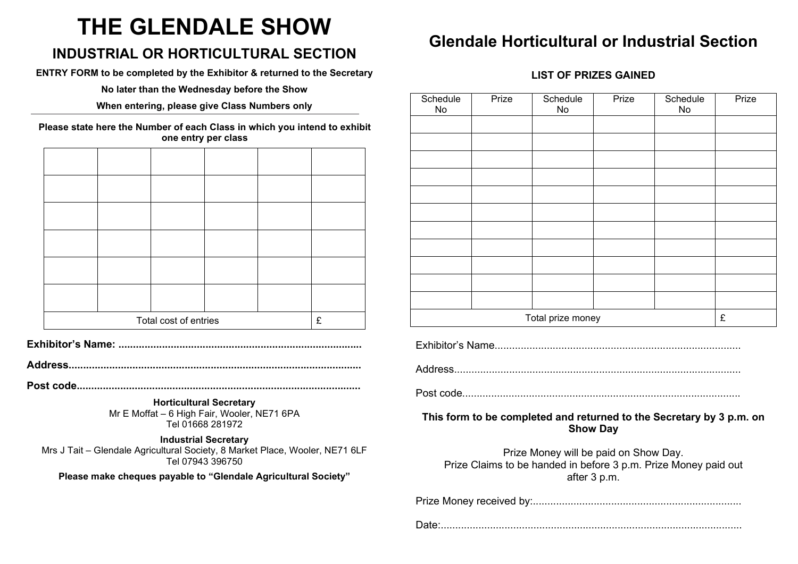# **THE GLENDALE SHOW**

### **INDUSTRIAL OR HORTICULTURAL SECTION**

**ENTRY FORM to be completed by the Exhibitor & returned to the Secretary**

**No later than the Wednesday before the Show**

**When entering, please give Class Numbers only**

**Please state here the Number of each Class in which you intend to exhibit one entry per class**

| Total cost of entries |  |  |  |  | £ |
|-----------------------|--|--|--|--|---|

**Exhibitor's Name: ....................................................................................**

**Address.....................................................................................................**

**Post code..................................................................................................**

**Horticultural Secretary** Mr E Moffat – 6 High Fair, Wooler, NE71 6PA Tel 01668 281972

**Industrial Secretary** Mrs J Tait – Glendale Agricultural Society, 8 Market Place, Wooler, NE71 6LF Tel 07943 396750

**Please make cheques payable to "Glendale Agricultural Society"**

## **Glendale Horticultural or Industrial Section**

#### **LIST OF PRIZES GAINED**

| Schedule<br>No    | Prize | Schedule<br>No | Prize | Schedule<br>No | Prize |
|-------------------|-------|----------------|-------|----------------|-------|
|                   |       |                |       |                |       |
|                   |       |                |       |                |       |
|                   |       |                |       |                |       |
|                   |       |                |       |                |       |
|                   |       |                |       |                |       |
|                   |       |                |       |                |       |
|                   |       |                |       |                |       |
|                   |       |                |       |                |       |
|                   |       |                |       |                |       |
|                   |       |                |       |                |       |
|                   |       |                |       |                |       |
| Total prize money |       |                |       |                | £     |

Exhibitor's Name.....................................................................................

Address...................................................................................................

Post code................................................................................................

**This form to be completed and returned to the Secretary by 3 p.m. on Show Day**

Prize Money will be paid on Show Day. Prize Claims to be handed in before 3 p.m. Prize Money paid out after 3 p.m.

Prize Money received by:........................................................................

Date:........................................................................................................